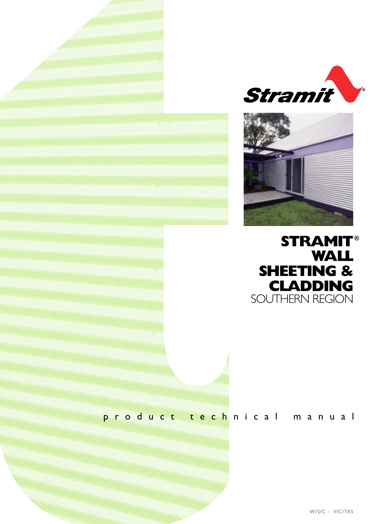





## p r o d u c t t e c h n i c a l m a n u a l

W/S/C – VIC/TAS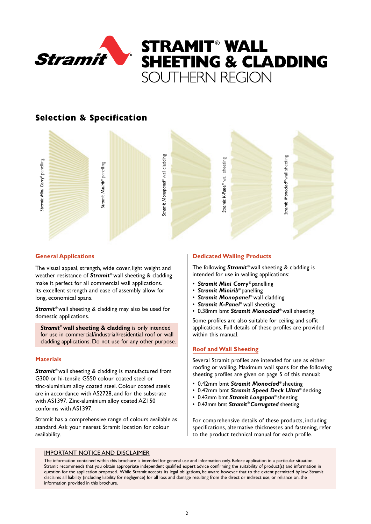

## **Selection & Specification**



#### **General Applications**

The visual appeal, strength, wide cover, light weight and weather resistance of **Stramit**® wall sheeting & cladding make it perfect for all commercial wall applications. Its excellent strength and ease of assembly allow for long, economical spans.

**Stramit**<sup>®</sup> wall sheeting & cladding may also be used for domestic applications.

*Stramit***®wall sheeting & cladding** is only intended for use in commercial/industrial/residential roof or wall cladding applications. Do not use for any other purpose.

## **Materials**

**Stramit**<sup>®</sup> wall sheeting & cladding is manufactured from G300 or hi-tensile G550 colour coated steel or zinc-aluminium alloy coated steel. Colour coated steels are in accordance with AS2728, and for the substrate with AS1397. Zinc-aluminium alloy coated AZ150 conforms with AS1397.

Stramit has a comprehensive range of colours available as standard.Ask your nearest Stramit location for colour availability.

#### **Dedicated Walling Products**

The following **Stramit<sup>®</sup>** wall sheeting & cladding is intended for use in walling applications:

- *Stramit Mini Corry* **®** panelling
- *Stramit Minirib***®** panelling
- *Stramit Monopanel* **®** wall cladding
- *Stramit K-Panel* **®** wall sheeting
- 0.38mm bmt *Stramit Monoclad***®** wall sheeting

Some profiles are also suitable for ceiling and soffit applications. Full details of these profiles are provided within this manual.

#### **Roof and Wall Sheeting**

Several Stramit profiles are intended for use as either roofing or walling. Maximum wall spans for the following sheeting profiles are given on page 5 of this manual:

- 0.42mm bmt *Stramit Monoclad***®** sheeting
- 0.42mm bmt *Stramit Speed Deck Ultra***®** decking
- 0.42mm bmt *Stramit Longspan***®** sheeting
- 0.42mm bmt *Stramit***®** *Corrugated* sheeting

For comprehensive details of these products, including specifications, alternative thicknesses and fastening, refer to the product technical manual for each profile.

#### IMPORTANT NOTICE AND DISCLAIMER

The information contained within this brochure is intended for general use and information only. Before application in a particular situation, Stramit recommends that you obtain appropriate independent qualified expert advice confirming the suitability of product(s) and information in question for the application proposed. While Stramit accepts its legal obligations, be aware however that to the extent permitted by law, Stramit disclaims all liability (including liability for negligence) for all loss and damage resulting from the direct or indirect use, or reliance on, the information provided in this brochure.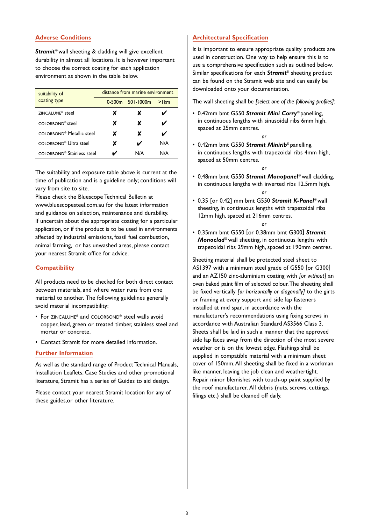#### **Adverse Conditions**

**Stramit**<sup>®</sup> wall sheeting & cladding will give excellent durability in almost all locations. It is however important to choose the correct coating for each application environment as shown in the table below.

| suitability of                         | distance from marine environment |                    |         |  |  |  |
|----------------------------------------|----------------------------------|--------------------|---------|--|--|--|
| coating type                           |                                  | $0-500m$ 501-1000m | $>$ Ikm |  |  |  |
| ZINCALUME <sup>®</sup> steel           | x                                | x                  |         |  |  |  |
| COLORBOND <sup>®</sup> steel           | x                                | x                  | ✔       |  |  |  |
| COLORBOND <sup>®</sup> Metallic steel  | x                                | x                  |         |  |  |  |
| COLORBOND <sup>®</sup> Ultra steel     | x                                | ✔                  | N/A     |  |  |  |
| COLORBOND <sup>®</sup> Stainless steel |                                  | N/A                | N/A     |  |  |  |

The suitability and exposure table above is current at the time of publication and is a guideline only; conditions will vary from site to site.

Please check the Bluescope Technical Bulletin at www.bluescopesteel.com.au for the latest information and guidance on selection, maintenance and durability. If uncertain about the appropriate coating for a particular application, or if the product is to be used in environments affected by industrial emissions, fossil fuel combustion, animal farming, or has unwashed areas, please contact your nearest Stramit office for advice.

## **Compatibility**

All products need to be checked for both direct contact between materials, and where water runs from one material to another. The following guidelines generally avoid material incompatibility:

- For ZINCALUME® and COLORBOND® steel walls avoid copper, lead, green or treated timber, stainless steel and mortar or concrete.
- Contact Stramit for more detailed information.

#### **Further Information**

As well as the standard range of Product Technical Manuals, Installation Leaflets, Case Studies and other promotional literature, Stramit has a series of Guides to aid design.

Please contact your nearest Stramit location for any of these guides,or other literature.

#### **Architectural Specification**

It is important to ensure appropriate quality products are used in construction. One way to help ensure this is to use a comprehensive specification such as outlined below. Similar specifications for each *Stramit***®** sheeting product can be found on the Stramit web site and can easily be downloaded onto your documentation.

The wall sheeting shall be *[select one of the following profiles]*:

- 0.42mm bmt G550 *Stramit Mini Corry* **®** panelling, in continuous lengths with sinusoidal ribs 6mm high, spaced at 25mm centres.
- 0.42mm bmt G550 *Stramit Minirib***®** panelling, in continuous lengths with trapezoidal ribs 4mm high, spaced at 50mm centres.

*or*

• 0.48mm bmt G550 *Stramit Monopanel* **®** wall cladding, in continuous lengths with inverted ribs 12.5mm high. *or*

*or*

• 0.35 [or 0.42] mm bmt G550 *Stramit K-Panel* **®** wall sheeting, in continuous lengths with trapezoidal ribs 12mm high, spaced at 216mm centres.

#### *or*

• 0.35mm bmt G550 [or 0.38mm bmt G300] *Stramit Monoclad***®** wall sheeting, in continuous lengths with trapezoidal ribs 29mm high, spaced at 190mm centres.

Sheeting material shall be protected steel sheet to AS1397 with a minimum steel grade of G550 [or G300] and an AZ150 zinc-aluminium coating with *[or without]* an oven baked paint film of selected colour.The sheeting shall be fixed vertically *[or horizontally or diagonally]* to the girts or framing at every support and side lap fasteners installed at mid span, in accordance with the manufacturer's recommendations using fixing screws in accordance with Australian Standard AS3566 Class 3. Sheets shall be laid in such a manner that the approved side lap faces away from the direction of the most severe weather or is on the lowest edge. Flashings shall be supplied in compatible material with a minimum sheet cover of 150mm.All sheeting shall be fixed in a workman like manner, leaving the job clean and weathertight. Repair minor blemishes with touch-up paint supplied by the roof manufacturer. All debris (nuts, screws, cuttings, filings etc.) shall be cleaned off daily.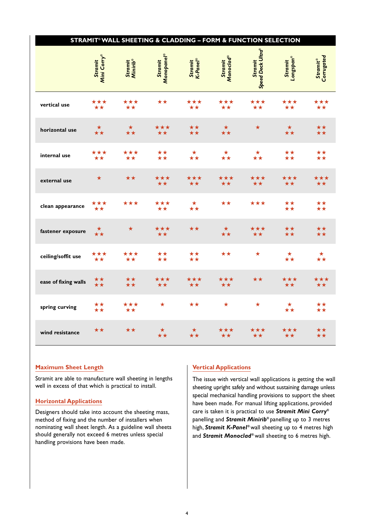|                      |                        | STRAMIT® WALL SHEETING & CLADDING - FORM & FUNCTION SELECTION |                                          |                     |                             |                              |                      |                                         |
|----------------------|------------------------|---------------------------------------------------------------|------------------------------------------|---------------------|-----------------------------|------------------------------|----------------------|-----------------------------------------|
|                      | Mini Corry®<br>Stramit | Stramit<br>Minirib®                                           | Monopanel®<br>Stramit                    | K-Panel®<br>Stramit | <b>Monoclad®</b><br>Stramit | Speed Deck Ultra®<br>Stramit | Stramit<br>Longspan® | <b>Stramit®</b><br>Corrugated           |
| vertical use         | ***                    | ★★★<br>$\star\star$                                           | $\star\star$                             | ***<br>$\star\star$ | ***<br>★★                   | ***<br>**                    | ***<br>$\star\star$  | ***<br>**                               |
| horizontal use       | $\star \star$          | $\star\star$                                                  | $\star\star\star$                        | ★★<br>★★            | $\star\star$                | ★                            | $\star\star$         | ★★<br>★★                                |
| internal use         | ***<br>$\star\star$    | ***<br>$\star\star$                                           | $\star\star$<br>★★                       | $\star$<br>**       | $\star$<br>**               | $\star$                      | $\star\star$<br>**   | $\star\star$<br>**                      |
| external use         | $\star$                | $\star\star$                                                  | ★★★<br>$\star\star$                      | ***<br>**           | ***<br>★★                   | ***<br>★★                    | ***<br>**            | ***<br>**                               |
| clean appearance     | $\star\star\star$      | ★★★                                                           | ***<br>**                                | $\star$             | **                          | ★★★                          | ★★<br>$\star\star$   | ★★<br>**                                |
| fastener exposure    | $\star\star$           | $\star$                                                       | ***<br>$\star\star$                      | $\star\star$        | $\star$                     | ***<br>**                    | $\star\star$<br>★★   | ★★<br>★★                                |
| ceiling/soffit use   | ★★★<br>$\star\star$    | ★★★<br>$\star\star$                                           | $\star\star$<br>$\hat{\star}\hat{\star}$ | ★★                  | **                          | $\star$                      | $\star$              | $\star$<br>**                           |
| ease of fixing walls | ★★<br>★★               | $\star\star$<br>$\star\star$                                  | ★★★<br>$\star\star$                      | ★★★<br>**           | ★★★<br>★★                   | ★★                           | ★★★<br>$\star\star$  | ★★★<br>$\star\star$                     |
| spring curving       | ★★<br>★★               | ***<br>$\star\star$                                           | $\star$                                  | **                  | $\star$                     | $\star$                      | $\star$<br>★★        | $\star\star$<br>$\overline{\star\star}$ |
| wind resistance      | ★★                     | ★★                                                            | $\star$                                  | $\star\star$        | ★★★<br>★★                   | ***<br>★★                    | ***<br>$\star\star$  | ★★<br>$\star\star$                      |

### **Maximum Sheet Length**

Stramit are able to manufacture wall sheeting in lengths well in excess of that which is practical to install.

## **Horizontal Applications**

Designers should take into account the sheeting mass, method of fixing and the number of installers when nominating wall sheet length. As a guideline wall sheets should generally not exceed 6 metres unless special handling provisions have been made.

## **Vertical Applications**

The issue with vertical wall applications is getting the wall sheeting upright safely and without sustaining damage unless special mechanical handling provisions to support the sheet have been made. For manual lifting applications, provided care is taken it is practical to use *Stramit Mini Corry***®** panelling and *Stramit Minirib***®** panelling up to 3 metres high, *Stramit K-Panel* **®** wall sheeting up to 4 metres high and *Stramit Monoclad***®** wall sheeting to 6 metres high.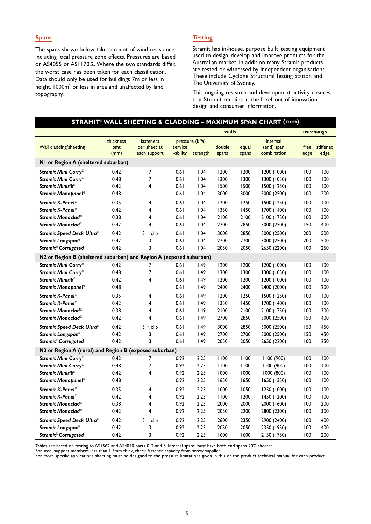#### **Spans**

The spans shown below take account of wind resistance including local pressure zone effects. Pressures are based on AS4055 or AS1170.2. Where the two standards differ, the worst case has been taken for each classification. Data should only be used for buildings 7m or less in height, 1000m<sup>2</sup> or less in area and unaffected by land topography.

## **Testing**

Stramit has in-house, purpose built, testing equipment used to design, develop and improve products for the Australian market. In addition many Stramit products are tested or witnessed by independent organisations. These include Cyclone Structural Testing Station and The University of Sydney.

This ongoing research and development activity ensures that Stramit remains at the forefront of innovation, design and consumer information.

|                                                                     |                          |                                           |                     |                            |                 |                | STRAMIT® WALL SHEETING & CLADDING - MAXIMUM SPAN CHART (mm) |              |                   |
|---------------------------------------------------------------------|--------------------------|-------------------------------------------|---------------------|----------------------------|-----------------|----------------|-------------------------------------------------------------|--------------|-------------------|
|                                                                     |                          |                                           |                     |                            | walls           |                |                                                             |              | overhangs         |
| Wall cladding/sheeting                                              | thickness<br>bmt<br>(mm) | fasteners<br>per sheet at<br>each support | service<br>-ability | pressure (kPa)<br>strength | double<br>spans | equal<br>spans | internal<br>(end) span<br>combination                       | free<br>edge | stiffened<br>edge |
| NI or Region A (sheltered suburban)                                 |                          |                                           |                     |                            |                 |                |                                                             |              |                   |
| Stramit Mini Corry®                                                 | 0.42                     | 7                                         | 0.61                | 1.04                       | 1200            | 1200           | 1200 (1000)                                                 | 100          | 100               |
| Stramit Mini Corry®                                                 | 0.48                     | 7                                         | 0.61                | 1.04                       | 1300            | 1300           | 1300 (1050)                                                 | 100          | 100               |
| Stramit Minirib <sup>®</sup>                                        | 0.42                     | 4                                         | 0.61                | 1.04                       | 1500            | 1500           | 1500 (1250)                                                 | 100          | 100               |
| Stramit Monopanel <sup>®</sup>                                      | 0.48                     | T                                         | 0.61                | 1.04                       | 3000            | 3000           | 3000 (2500)                                                 | 100          | 200               |
| Stramit K-Panel®                                                    | 0.35                     | 4                                         | 0.61                | 1.04                       | 1200            | 1250           | 1500 (1250)                                                 | 100          | 100               |
| Stramit K-Panel <sup>®</sup>                                        | 0.42                     | 4                                         | 0.61                | 1.04                       | 1350            | 1450           | 1700 (1400)                                                 | 100          | 100               |
| Stramit Monoclad®                                                   | 0.38                     | 4                                         | 0.61                | 1.04                       | 2100            | 2100           | 2100 (1750)                                                 | 100          | 300               |
| Stramit Monoclad®                                                   | 0.42                     | 4                                         | 0.61                | 1.04                       | 2700            | 2850           | 3000 (2500)                                                 | 150          | 400               |
| Stramit Speed Deck Ultra®                                           | 0.42                     | $3 +$ clip                                | 0.61                | 1.04                       | 3000            | 2850           | 3000 (2500)                                                 | 200          | 500               |
| Stramit Longspan®                                                   | 0.42                     | 3                                         | 0.61                | 1.04                       | 2700            | 2700           | 3000 (2500)                                                 | 200          | 500               |
| Stramit® Corrugated                                                 | 0.42                     | 3                                         | 0.61                | 1.04                       | 2050            | 2050           | 2650 (2200)                                                 | 100          | 250               |
| N2 or Region B (sheltered suburban) and Region A (exposed suburban) |                          |                                           |                     |                            |                 |                |                                                             |              |                   |
| Stramit Mini Corry®                                                 | 0.42                     | 7                                         | 0.61                | 1.49                       | 1200            | 1200           | 1200 (1000)                                                 | 100          | 100               |
| Stramit Mini Corry®                                                 | 0.48                     | $\overline{7}$                            | 0.61                | 1.49                       | 1300            | 1300           | 1300 (1050)                                                 | 100          | 100               |
| Stramit Minirib <sup>®</sup>                                        | 0.42                     | 4                                         | 0.61                | 1.49                       | 1200            | 1200           | 1200 (1000)                                                 | 100          | 100               |
| Stramit Monopanel <sup>®</sup>                                      | 0.48                     | T                                         | 0.61                | 1.49                       | 2400            | 2400           | 2400 (2000)                                                 | 100          | 200               |
| Stramit K-Panel <sup>®</sup>                                        | 0.35                     | 4                                         | 0.61                | 1.49                       | 1200            | 1250           | 1500 (1250)                                                 | 100          | 100               |
| Stramit K-Panel®                                                    | 0.42                     | 4                                         | 0.61                | 1.49                       | 1350            | 1450           | 1700 (1400)                                                 | 100          | 100               |
| Stramit Monoclad®                                                   | 0.38                     | 4                                         | 0.61                | 1.49                       | 2100            | 2100           | 2100 (1750)                                                 | 100          | 300               |
| Stramit Monoclad®                                                   | 0.42                     | 4                                         | 0.61                | 1.49                       | 2700            | 2850           | 3000 (2500)                                                 | 150          | 400               |
| <b>Stramit Speed Deck Ultra®</b>                                    | 0.42                     | $3 +$ clip                                | 0.61                | 1.49                       | 3000            | 2850           | 3000 (2500)                                                 | 150          | 450               |
| Stramit Longspan®                                                   | 0.42                     | 3                                         | 0.61                | 1.49                       | 2700            | 2700           | 3000 (2500)                                                 | 150          | 450               |
| Stramit® Corrugated                                                 | 0.42                     | 3                                         | 0.61                | 1.49                       | 2050            | 2050           | 2650 (2200)                                                 | 100          | 250               |
| N3 or Region A (rural) and Region B (exposed suburban)              |                          |                                           |                     |                            |                 |                |                                                             |              |                   |
| Stramit Mini Corry®                                                 | 0.42                     | 7                                         | 0.92                | 2.25                       | 1100            | 1100           | 1100 (900)                                                  | 100          | 100               |
| Stramit Mini Corry®                                                 | 0.48                     | 7                                         | 0.92                | 2.25                       | 1100            | 1100           | 1100 (900)                                                  | 100          | 100               |
| Stramit Minirib <sup>®</sup>                                        | 0.42                     | 4                                         | 0.92                | 2.25                       | 1000            | 1000           | 1000 (800)                                                  | 100          | 100               |
| Stramit Monopanel <sup>®</sup>                                      | 0.48                     | T                                         | 0.92                | 2.25                       | 1650            | 1650           | 1650 (1350)                                                 | 100          | 100               |
| Stramit K-Panel <sup>®</sup>                                        | 0.35                     | 4                                         | 0.92                | 2.25                       | 1000            | 1050           | 1250 (1000)                                                 | 100          | 100               |
| Stramit K-Panel®                                                    | 0.42                     | 4                                         | 0.92                | 2.25                       | 1100            | 1200           | 1450 (1200)                                                 | 100          | 100               |
| Stramit Monoclad®                                                   | 0.38                     | 4                                         | 0.92                | 2.25                       | 2000            | 2000           | 2000 (1600)                                                 | 100          | 200               |
| Stramit Monoclad®                                                   | 0.42                     | 4                                         | 0.92                | 2.25                       | 2050            | 2200           | 2800 (2300)                                                 | 100          | 300               |
| <b>Stramit Speed Deck Ultra®</b>                                    | 0.42                     | $3 + clip$                                | 0.92                | 2.25                       | 2600            | 2350           | 2900 (2400)                                                 | 100          | 400               |
| Stramit Longspan®                                                   | 0.42                     | 3                                         | 0.92                | 2.25                       | 2050            | 2050           | 2350 (1950)                                                 | 100          | 400               |
| Stramit <sup>®</sup> Corrugated                                     | 0.42                     | 3                                         | 0.92                | 2.25                       | 1600            | 1600           | 2150 (1750)                                                 | 100          | 200               |

Tables are based on testing to AS1562 and AS4040 parts 0, 2 and 3. Internal spans must have both end spans 20% shorter.

For steel support members less than 1.5mm thick, check fastener capacity from screw supplier.

For more specific applications sheeting must be designed to the pressure limitations given in this or the product technical manual for each product.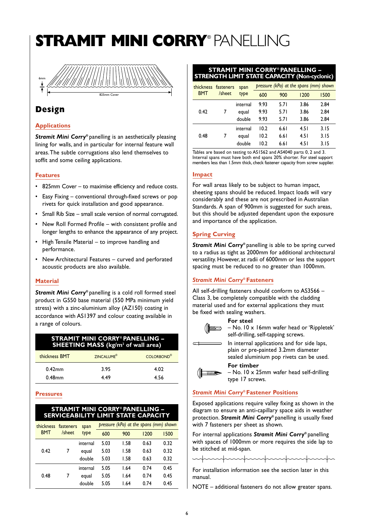# **STRAMIT MINI CORRY**® PANELLING



## **Design**

## **Applications**

*Stramit Mini Corry***®** panelling is an aesthetically pleasing lining for walls, and in particular for internal feature wall areas.The subtle corrugations also lend themselves to soffit and some ceiling applications.

#### **Features**

- 825mm Cover to maximise efficiency and reduce costs.
- Easy Fixing conventional through-fixed screws or pop rivets for quick installation and good appearance.
- Small Rib Size small scale version of normal corrugated.
- New Roll Formed Profile with consistent profile and longer lengths to enhance the appearance of any project.
- High Tensile Material to improve handling and performance.
- New Architectural Features curved and perforated acoustic products are also available.

#### **Material**

*Stramit Mini Corry***®** panelling is a cold roll formed steel product in G550 base material (550 MPa minimum yield stress) with a zinc-aluminium alloy (AZ150) coating in accordance with AS1397 and colour coating available in a range of colours.

| <b>STRAMIT MINI CORRY® PANELLING -</b><br><b>SHEETING MASS</b> (kg/m <sup>2</sup> of wall area) |                        |                   |  |  |  |  |
|-------------------------------------------------------------------------------------------------|------------------------|-------------------|--|--|--|--|
| thickness BMT                                                                                   | ZINCALUME <sup>®</sup> | <b>COLORBOND®</b> |  |  |  |  |
| $0.42$ mm                                                                                       | 3.95                   | 4.02              |  |  |  |  |
| $0.48$ mm                                                                                       | 449                    | 456               |  |  |  |  |

#### **Pressures**

| <b>STRAMIT MINI CORRY® PANELLING -</b><br>SERVICEABILITY LIMIT STATE CAPACITY |                     |          |      |                                        |      |      |  |  |
|-------------------------------------------------------------------------------|---------------------|----------|------|----------------------------------------|------|------|--|--|
| thickness                                                                     | fasteners<br>/sheet | span     |      | pressure (kPa) at the spans (mm) shown |      |      |  |  |
| <b>BMT</b>                                                                    |                     | type     | 600  | 900                                    | 1200 | 1500 |  |  |
|                                                                               | 7                   | internal | 5.03 | 1.58                                   | 0.63 | 0.32 |  |  |
| 0.42                                                                          |                     | equal    | 5.03 | 1.58                                   | 0.63 | 0.32 |  |  |
|                                                                               |                     | double   | 5.03 | 1.58                                   | 0.63 | 0.32 |  |  |
|                                                                               |                     | internal | 5.05 | 1.64                                   | 0.74 | 0.45 |  |  |
| 0.48                                                                          | 7                   | equal    | 5.05 | 1.64                                   | 0.74 | 0.45 |  |  |
|                                                                               |                     | double   | 5.05 | L.64                                   | 0.74 | 0.45 |  |  |

#### **STRAMIT MINI CORRY® PANELLING – STRENGTH LIMIT STATE CAPACITY (Non-cyclonic)**

|      | thickness fasteners |          | span   |      |      | pressure (kPa) at the spans (mm) shown |      |
|------|---------------------|----------|--------|------|------|----------------------------------------|------|
|      | <b>BMT</b>          | /sheet   | type   | 600  | 900  | 1200                                   | 1500 |
|      |                     |          |        | 9.93 | 5.71 | 3.86                                   | 2.84 |
|      | 0.42                | 7        | equal  | 9.93 | 5.71 | 3.86                                   | 2.84 |
|      |                     |          | double | 9.93 | 5.71 | 3.86                                   | 2.84 |
|      |                     | internal | 10.2   | 6.61 | 4.51 | 3.15                                   |      |
| 0.48 |                     | 7        | equal  | 10.2 | 6.61 | 4.51                                   | 3.15 |
|      |                     |          | double | 10.2 | 6.61 | 4.51                                   | 3.15 |
|      |                     |          |        |      |      |                                        |      |

Tables are based on testing to AS1562 and AS4040 parts 0, 2 and 3. Internal spans must have both end spans 20% shorter. For steel support members less than 1.5mm thick, check fastener capacity from screw supplier.

#### **Impact**

For wall areas likely to be subject to human impact, sheeting spans should be reduced. Impact loads will vary considerably and these are not prescribed in Australian Standards. A span of 900mm is suggested for such areas, but this should be adjusted dependant upon the exposure and importance of the application.

## **Spring Curving**

*Stramit Mini Corry***®** panelling is able to be spring curved to a radius as tight as 2000mm for additional architectural versatility. However, at radii of 6000mm or less the support spacing must be reduced to no greater than 1000mm.

## *Stramit Mini Corry***® Fasteners**

All self-drilling fasteners should conform to AS3566 – Class 3, be completely compatible with the cladding material used and for external applications they must be fixed with sealing washers.

#### **For steel**



 $\overline{u}$ 

– No. 10 x 16mm wafer head or 'Rippletek' self-drilling, self-tapping screws.



In internal applications and for side laps,

plain or pre-painted 3.2mm diameter sealed aluminium pop rivets can be used.

**For timber** – No. 10 x 25mm wafer head self-drilling type 17 screws.

## *Stramit Mini Corry***® Fastener Positions**

Exposed applications require valley fixing as shown in the diagram to ensure an anti-capillary space aids in weather protection. *Stramit Mini Corry***®** panelling is usually fixed with 7 fasteners per sheet as shown.

For internal applications *Stramit Mini Corry***®** panelling with spaces of 1000mm or more requires the side lap to be stitched at mid-span.

mpunpunpunpunpunpunpunpu

For installation information see the section later in this manual.

NOTE – additional fasteners do not allow greater spans.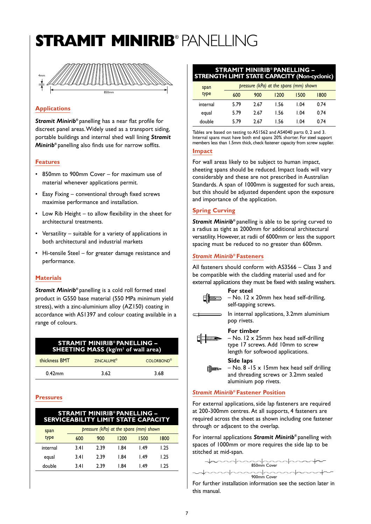# **STRAMIT MINIRIB**® PANELLING



## **Applications**

*Stramit Minirib***®** panelling has a near flat profile for discreet panel areas.Widely used as a transport siding, portable buildings and internal shed wall lining *Stramit Minirib***®** panelling also finds use for narrow soffits.

## **Features**

- 850mm to 900mm Cover for maximum use of material whenever applications permit.
- Easy Fixing conventional through fixed screws maximise performance and installation.
- Low Rib Height to allow flexibility in the sheet for architectural treatments.
- Versatility suitable for a variety of applications in both architectural and industrial markets
- Hi-tensile Steel for greater damage resistance and performance.

#### **Materials**

*Stramit Minirib***®** panelling is a cold roll formed steel product in G550 base material (550 MPa minimum yield stress), with a zinc-aluminium alloy (AZ150) coating in accordance with AS1397 and colour coating available in a range of colours.

| <b>STRAMIT MINIRIB<sup>®</sup> PANELLING -</b><br><b>SHEETING MASS (kg/m<sup>2</sup> of wall area)</b> |                              |                   |  |  |  |  |
|--------------------------------------------------------------------------------------------------------|------------------------------|-------------------|--|--|--|--|
| thickness BMT                                                                                          | <b>7INCALUME<sup>®</sup></b> | <b>COLORBOND®</b> |  |  |  |  |
| $0.42$ mm                                                                                              | 3.62                         | 3.68              |  |  |  |  |

## **Pressures**

| <b>STRAMIT MINIRIB<sup>®</sup> PANELLING -</b><br><b>SERVICEABILITY LIMIT STATE CAPACITY</b> |      |      |                                        |      |      |  |  |
|----------------------------------------------------------------------------------------------|------|------|----------------------------------------|------|------|--|--|
| span                                                                                         |      |      | pressure (kPa) at the spans (mm) shown |      |      |  |  |
| type                                                                                         | 600  | 900  | 1200                                   | 1500 | 1800 |  |  |
| internal                                                                                     | 3.41 | 2.39 | 1.84                                   | 1.49 | 1.25 |  |  |
| equal                                                                                        | 3.41 | 2.39 | 1.84                                   | 1.49 | 1.25 |  |  |
| double                                                                                       | 3.41 | 2.39 | l 84                                   | l 49 | 1.25 |  |  |

#### **STRAMIT MINIRIB® PANELLING – STRENGTH LIMIT STATE CAPACITY (Non-cyclonic)**

| span     |      |      | pressure (kPa) at the spans (mm) shown |      |      |  |
|----------|------|------|----------------------------------------|------|------|--|
| type     | 600  | 900  | 1200                                   | 1500 | 1800 |  |
| internal | 5.79 | 2.67 | 1.56                                   | 1.04 | 0.74 |  |
| equal    | 5.79 | 2.67 | 1.56                                   | 1.04 | 0.74 |  |
| double   | 579  | 2.67 | 1.56                                   | 1.04 | 0.74 |  |

Tables are based on testing to AS1562 and AS4040 parts 0, 2 and 3. Internal spans must have both end spans 20% shorter. For steel support members less than 1.5mm thick, check fastener capacity from screw supplier.

#### **Impact**

For wall areas likely to be subject to human impact, sheeting spans should be reduced. Impact loads will vary considerably and these are not prescribed in Australian Standards. A span of 1000mm is suggested for such areas, but this should be adjusted dependent upon the exposure and importance of the application.

## **Spring Curving**

*Stramit Minirib***®** panelling is able to be spring curved to a radius as tight as 2000mm for additional architectural versatility. However, at radii of 6000mm or less the support spacing must be reduced to no greater than 600mm.

## *Stramit Minirib***® Fasteners**

All fasteners should conform with AS3566 – Class 3 and be compatible with the cladding material used and for external applications they must be fixed with sealing washers.



**For steel** – No. 12 x 20mm hex head self-drilling, self-tapping screws.



In internal applications, 3.2mm aluminium pop rivets.

## **For timber**



– No. 12 x 25mm hex head self-drilling type 17 screws. Add 10mm to screw length for softwood applications.



**Side laps** – No. 8 -15 x 15mm hex head self drilling and threading screws or 3.2mm sealed aluminium pop rivets.

## *Stramit Minirib***® Fastener Position**

For external applications, side lap fasteners are required at 200-300mm centres. At all supports, 4 fasteners are required across the sheet as shown including one fastener through or adjacent to the overlap.

For internal applications *Stramit Minirib***®** panelling with spaces of 1000mm or more requires the side lap to be stitched at mid-span.



For further installation information see the section later in this manual.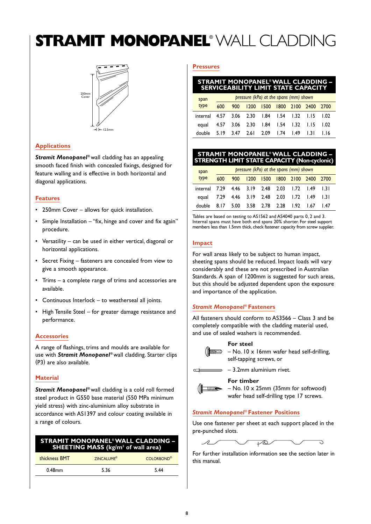# **STRAMIT MONOPANEL**® WALL CLADDING



## **Applications**

*Stramit Monopanel* **®** wall cladding has an appealing smooth faced finish with concealed fixings, designed for feature walling and is effective in both horizontal and diagonal applications.

#### **Features**

- 250mm Cover allows for quick installation.
- Simple Installation  $-$  "fix, hinge and cover and fix again" procedure.
- Versatility can be used in either vertical, diagonal or horizontal applications.
- Secret Fixing fasteners are concealed from view to give a smooth appearance.
- Trims a complete range of trims and accessories are available.
- Continuous Interlock to weatherseal all joints.
- High Tensile Steel for greater damage resistance and performance.

#### **Accessories**

A range of flashings, trims and moulds are available for use with *Stramit Monopanel* **®** wall cladding. Starter clips (P3) are also available.

## **Material**

*Stramit Monopanel* **®** wall cladding is a cold roll formed steel product in G550 base material (550 MPa minimum yield stress) with zinc-aluminium alloy substrate in accordance with AS1397 and colour coating available in a range of colours.

| <b>STRAMIT MONOPANEL<sup>®</sup> WALL CLADDING -</b><br><b>SHEETING MASS</b> (kg/m <sup>2</sup> of wall area) |                              |             |  |  |  |  |
|---------------------------------------------------------------------------------------------------------------|------------------------------|-------------|--|--|--|--|
| thickness BMT                                                                                                 | <b>ZINCALUME<sup>®</sup></b> | COI ORBOND® |  |  |  |  |

0.48mm 5.36 5.44

## **Pressures**

#### **STRAMIT MONOPANEL®WALL CLADDING – SERVICEABILITY LIMIT STATE CAPACITY**

| span                                             |      | pressure (kPa) at the spans (mm) shown |                         |                     |  |  |  |        |  |  |
|--------------------------------------------------|------|----------------------------------------|-------------------------|---------------------|--|--|--|--------|--|--|
| type                                             | 600  | 900                                    | 1200                    | 1500 1800 2100 2400 |  |  |  | 2700   |  |  |
| internal 4.57 3.06 2.30 1.84 1.54 1.32 1.15 1.02 |      |                                        |                         |                     |  |  |  |        |  |  |
| equal 4.57 3.06 2.30 1.84 1.54 1.32 1.15 1.02    |      |                                        |                         |                     |  |  |  |        |  |  |
| double                                           | 5.19 | 3.47                                   | 2.6 2.09 1.74 1.49 1.31 |                     |  |  |  | - 1.16 |  |  |

#### **STRAMIT MONOPANEL®WALL CLADDING – STRENGTH LIMIT STATE CAPACITY (Non-cyclonic)**

| span                                             |     | pressure (kPa) at the spans (mm) shown |                                    |  |  |  |  |    |  |  |
|--------------------------------------------------|-----|----------------------------------------|------------------------------------|--|--|--|--|----|--|--|
| type                                             | 600 | 900                                    | 1200 1500 1800 2100 2400 2700      |  |  |  |  |    |  |  |
| internal 7.29 4.46 3.19 2.48 2.03 1.72 1.49 1.31 |     |                                        |                                    |  |  |  |  |    |  |  |
| equal 7.29 4.46 3.19 2.48 2.03 1.72 1.49 1.31    |     |                                        |                                    |  |  |  |  |    |  |  |
| double                                           |     |                                        | 8.17 5.00 3.58 2.78 2.28 1.92 1.67 |  |  |  |  | 47 |  |  |

Tables are based on testing to AS1562 and AS4040 parts 0, 2 and 3. Internal spans must have both end spans 20% shorter. For steel support members less than 1.5mm thick, check fastener capacity from screw supplier.

#### **Impact**

For wall areas likely to be subject to human impact, sheeting spans should be reduced. Impact loads will vary considerably and these are not prescribed in Australian Standards. A span of 1200mm is suggested for such areas, but this should be adjusted dependent upon the exposure and importance of the application.

#### *Stramit Monopanel* **® Fasteners**

All fasteners should conform to AS3566 – Class 3 and be completely compatible with the cladding material used, and use of sealed washers is recommended.

## **For steel**



 $\left(\left|\frac{1}{\sin\theta}\right| - \text{No. } 10 \times 16$  mm wafer head self-drilling, self-tapping screws, or



#### **For timber**



– No. 10 x 25mm (35mm for softwood) wafer head self-drilling type 17 screws.

## *Stramit Monopanel* **® Fastener Positions**

Use one fastener per sheet at each support placed in the pre-punched slots.

 $\overline{\mathcal{P}}$ 

For further installation information see the section later in this manual.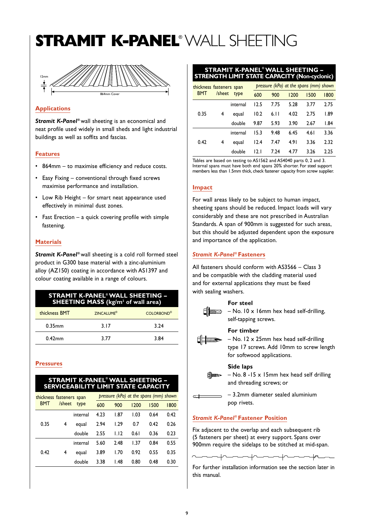## **STRAMIT K-PANEL**® WALL SHEETING



#### **Applications**

*Stramit K-Panel* **®** wall sheeting is an economical and neat profile used widely in small sheds and light industrial buildings as well as soffits and fascias.

#### **Features**

- 864mm to maximise efficiency and reduce costs.
- Easy Fixing conventional through fixed screws maximise performance and installation.
- Low Rib Height for smart neat appearance used effectively in minimal dust zones.
- Fast Erection a quick covering profile with simple fastening.

#### **Materials**

*Stramit K-Panel* **®** wall sheeting is a cold roll formed steel product in G300 base material with a zinc-aluminium alloy (AZ150) coating in accordance with AS1397 and colour coating available in a range of colours.

#### **STRAMIT K-PANEL®WALL SHEETING – SHEETING MASS (kg/m2 of wall area)**

| thickness BMT | ZINCALUME <sup>®</sup> | <b>COLORBOND®</b> |
|---------------|------------------------|-------------------|
| $0.35$ mm     | 3.17                   | 3.24              |
| $0.42$ mm     | 3.77                   | 3.84              |

#### **Pressures**

#### **STRAMIT K-PANEL® WALL SHEETING – SERVICEABILITY LIMIT STATE CAPACITY**

|                      |   | thickness fasteners span | pressure (kPa) at the spans (mm) shown |      |      |      |      |  |
|----------------------|---|--------------------------|----------------------------------------|------|------|------|------|--|
| /sheet<br><b>BMT</b> |   | type                     | 600                                    | 900  | 1200 | 1500 | 1800 |  |
|                      |   | internal                 | 4.23                                   | 1.87 | 1.03 | 0.64 | 0.42 |  |
| 0.35                 | 4 | equal                    | 2.94                                   | 1.29 | 0.7  | 0.42 | 0.26 |  |
|                      |   | double                   | 2.55                                   | 1.12 | 0.61 | 0.36 | 0.23 |  |
| 0.42                 |   | internal                 | 5.60                                   | 2.48 | 1.37 | 0.84 | 0.55 |  |
|                      | 4 | equal                    | 3.89                                   | 1.70 | 0.92 | 0.55 | 0.35 |  |
|                      |   | double                   | 3.38                                   | I.48 | 0.80 | 0.48 | 0.30 |  |

#### **STRAMIT K-PANEL® WALL SHEETING – STRENGTH LIMIT STATE CAPACITY (Non-cyclonic)**

| thickness fasteners span<br><b>BMT</b> |        |          |      | pressure (kPa) at the spans (mm) shown |      |       |      |  |  |
|----------------------------------------|--------|----------|------|----------------------------------------|------|-------|------|--|--|
|                                        | /sheet | type     | 600  | 900                                    | 1200 | 1500  | 1800 |  |  |
| 0.35<br>4                              |        | internal | 12.5 | 7.75                                   | 5.28 | 3.77  | 2.75 |  |  |
|                                        |        | equal    | 10.2 | 6.11                                   | 4.02 | 2.75  | 1.89 |  |  |
|                                        |        | double   | 9.87 | 5.93                                   | 3.90 | 2.67  | 1.84 |  |  |
| 0.42                                   |        | internal | 15.3 | 9.48                                   | 6.45 | 4.6 I | 3.36 |  |  |
|                                        | 4      | equal    | 12.4 | 7.47                                   | 4.91 | 3.36  | 2.32 |  |  |
|                                        |        | double   | 12.I | 7.24                                   | 4.77 | 3.26  | 2.25 |  |  |

Tables are based on testing to AS1562 and AS4040 parts 0, 2 and 3. Internal spans must have both end spans 20% shorter. For steel support members less than 1.5mm thick, check fastener capacity from screw supplier.

#### **Impact**

For wall areas likely to be subject to human impact, sheeting spans should be reduced. Impact loads will vary considerably and these are not prescribed in Australian Standards. A span of 900mm is suggested for such areas, but this should be adjusted dependent upon the exposure and importance of the application.

#### *Stramit K-Panel* **® Fasteners**

All fasteners should conform with AS3566 – Class 3 and be compatible with the cladding material used and for external applications they must be fixed with sealing washers.

| For steel<br>$\equiv$ - No. 10 x 16mm hex head self-drilling,<br>self-tapping screws.                                                   |
|-----------------------------------------------------------------------------------------------------------------------------------------|
| For timber<br>$-$ No. 12 $\times$ 25mm hex head self-drilling<br>type 17 screws. Add 10mm to screw length<br>for softwood applications. |
| Side laps<br>$\text{mass}$ – No. 8 -15 x 15mm hex head self drilling<br>and threading screws; or                                        |
| - 3.2mm diameter sealed aluminium<br>pop rivets.                                                                                        |
| <b>Stramit K-Panel<sup>®</sup> Fastener Position</b>                                                                                    |

Fix adjacent to the overlap and each subsequent rib (5 fasteners per sheet) at every support. Spans over 900mm require the sidelaps to be stitched at mid-span.

 $\rightarrow$ 

For further installation information see the section later in this manual.

 $\begin{picture}(100,10) \put(0,0){\dashbox{0.5}(10,0){ }} \put(10,0){\dashbox{0.5}(10,0){ }} \put(10,0){\dashbox{0.5}(10,0){ }} \put(10,0){\dashbox{0.5}(10,0){ }} \put(10,0){\dashbox{0.5}(10,0){ }} \put(10,0){\dashbox{0.5}(10,0){ }} \put(10,0){\dashbox{0.5}(10,0){ }} \put(10,0){\dashbox{0.5}(10,0){ }} \put(10,0){\dashbox{0.5}(10,0){ }} \put(10,0){\dashbox$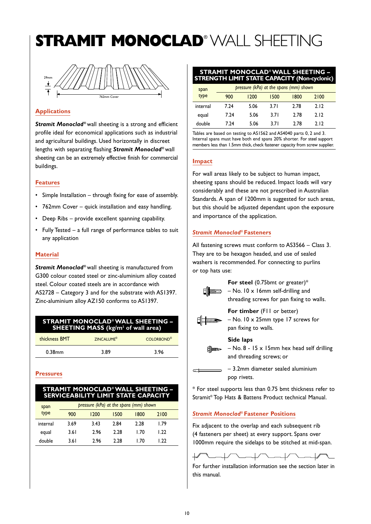# **STRAMIT MONOCLAD**® WALL SHEETING



## **Applications**

*Stramit Monoclad***®** wall sheeting is a strong and efficient profile ideal for economical applications such as industrial and agricultural buildings. Used horizontally in discreet lengths with separating flashing *Stramit Monoclad***®** wall sheeting can be an extremely effective finish for commercial buildings.

#### **Features**

- Simple Installation through fixing for ease of assembly.
- 762mm Cover quick installation and easy handling.
- Deep Ribs provide excellent spanning capability.
- Fully Tested a full range of performance tables to suit any application

#### **Material**

*Stramit Monoclad***®** wall sheeting is manufactured from G300 colour coated steel or zinc-aluminium alloy coated steel. Colour coated steels are in accordance with AS2728 – Category 3 and for the substrate with AS1397. Zinc-aluminium alloy AZ150 conforms to AS1397.

## **STRAMIT MONOCLAD®WALL SHEETING – SHEETING MASS (kg/m2 of wall area)**

| thickness BMT | <b>ZINCALUME®</b> | COI ORBOND <sup>®</sup> |
|---------------|-------------------|-------------------------|
| $0.38$ mm     | 3.89              | 3.96                    |

## **Pressures**

#### **STRAMIT MONOCLAD®WALL SHEETING – SERVICEABILITY LIMIT STATE CAPACITY**

| span     | pressure (kPa) at the spans (mm) shown |      |      |            |      |  |
|----------|----------------------------------------|------|------|------------|------|--|
| type     | 900                                    | 1200 | 1500 | 1800       | 2100 |  |
| internal | 3.69                                   | 3.43 | 2.84 | 2.28       | I.79 |  |
| equal    | 3.61                                   | 2.96 | 2.28 | 1.70       | 1.22 |  |
| double   | 3.61                                   | 2.96 | 228  | <b>170</b> | 1.22 |  |

#### **STRAMIT MONOCLAD®WALL SHEETING – STRENGTH LIMIT STATE CAPACITY (Non-cyclonic)**

| span     |      | pressure (kPa) at the spans (mm) shown |       |      |      |  |
|----------|------|----------------------------------------|-------|------|------|--|
| type     | 900  | 1200                                   | 1500  | 1800 | 2100 |  |
| internal | 7.24 | 5.06                                   | 3.71  | 2.78 | 2.12 |  |
| equal    | 7.24 | 5.06                                   | 3.7 I | 2.78 | 2.12 |  |
| double   | 7.24 | 5.06                                   | 3 7 I | 2.78 | 212  |  |

Tables are based on testing to AS1562 and AS4040 parts 0, 2 and 3. Internal spans must have both end spans 20% shorter. For steel support members less than 1.5mm thick, check fastener capacity from screw supplier.

## **Impact**

For wall areas likely to be subject to human impact, sheeting spans should be reduced. Impact loads will vary considerably and these are not prescribed in Australian Standards. A span of 1200mm is suggested for such areas, but this should be adjusted dependant upon the exposure and importance of the application.

## *Stramit Monoclad***® Fasteners**

All fastening screws must conform to AS3566 – Class 3. They are to be hexagon headed, and use of sealed washers is recommended. For connecting to purlins or top hats use:



**For steel** (0.75bmt or greater)\*  $\exists$  – No. 10 x 16mm self-drilling and threading screws for pan fixing to walls.



**For timber** (F11 or better) – No. 10 x 25mm type 17 screws for pan fixing to walls.

## **Side laps**

– No. 8 - 15 x 15mm hex head self drilling and threading screws; or

– 3.2mm diameter sealed aluminium pop rivets.

\* For steel supports less than 0.75 bmt thickness refer to Stramit® Top Hats & Battens Product technical Manual.

## *Stramit Monoclad***® Fastener Positions**

Fix adjacent to the overlap and each subsequent rib (4 fasteners per sheet) at every support. Spans over 1000mm require the sidelaps to be stitched at mid-span.



For further installation information see the section later in this manual.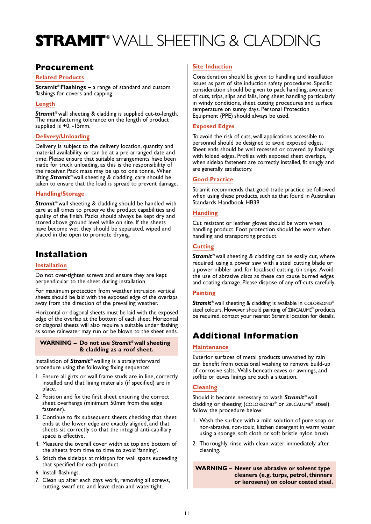# **STRAMIT**® WALL SHEETING & CLADDING

## **Procurement**

#### **Related Products**

**Stramit® Flashings** – a range of standard and custom flashings for covers and capping

## **Length**

*Stramit* **®** wall sheeting & cladding is supplied cut-to-length. The manufacturing tolerance on the length of product supplied is +0, -15mm.

## **Delivery/Unloading**

Delivery is subject to the delivery location, quantity and material availability, or can be at a pre-arranged date and time. Please ensure that suitable arrangements have been made for truck unloading, as this is the responsibility of the receiver. Pack mass may be up to one tonne. When lifting *Stramit* **®** wall sheeting & cladding, care should be taken to ensure that the load is spread to prevent damage.

## **Handling/Storage**

**Stramit**<sup>®</sup> wall sheeting & cladding should be handled with care at all times to preserve the product capabilities and quality of the finish. Packs should always be kept dry and stored above ground level while on site. If the sheets have become wet, they should be separated, wiped and placed in the open to promote drying.

## **Installation**

## **Installation**

Do not over-tighten screws and ensure they are kept perpendicular to the sheet during installation.

For maximum protection from weather intrusion vertical sheets should be laid with the exposed edge of the overlaps away from the direction of the prevailing weather.

Horizontal or diagonal sheets must be laid with the exposed edge of the overlap at the bottom of each sheet. Horizontal or diagonal sheets will also require a suitable under flashing as some rainwater may run or be blown to the sheet ends.

#### **WARNING – Do not use** *Stramit***®wall sheeting & cladding as a roof sheet.**

Installation of *Stramit* **®** walling is a straightforward procedure using the following fixing sequence:

- 1. Ensure all girts or wall frame studs are in line, correctly installed and that lining materials (if specified) are in place.
- 2. Position and fix the first sheet ensuring the correct sheet overhangs (minimum 50mm from the edge fastener).
- 3. Continue to fix subsequent sheets checking that sheet ends at the lower edge are exactly aligned, and that sheets sit correctly so that the integral anti-capillary space is effective.
- 4. Measure the overall cover width at top and bottom of the sheets from time to time to avoid 'fanning'.
- 5. Stitch the sidelaps at midspan for wall spans exceeding that specified for each product.
- 6. Install flashings.
- 7. Clean up after each days work, removing all screws, cutting, swarf etc, and leave clean and watertight.

## **Site Induction**

Consideration should be given to handling and installation issues as part of site induction safety procedures. Specific consideration should be given to pack handling, avoidance of cuts, trips, slips and falls, long sheet handling particularly in windy conditions, sheet cutting procedures and surface temperature on sunny days. Personal Protection Equipment (PPE) should always be used.

## **Exposed Edges**

To avoid the risk of cuts, wall applications accessible to personnel should be designed to avoid exposed edges. Sheet ends should be well recessed or covered by flashings with folded edges. Profiles with exposed sheet overlaps, when sidelap fasteners are correctly installed, fit snugly and are generally satisfactory.

## **Good Practice**

Stramit recommends that good trade practice be followed when using these products, such as that found in Australian Standards Handbook HB39.

## **Handling**

Cut resistant or leather gloves should be worn when handling product. Foot protection should be worn when handling and transporting product.

## **Cutting**

**Stramit**<sup>®</sup> wall sheeting & cladding can be easily cut, where required, using a power saw with a steel cutting blade or a power nibbler and, for localised cutting, tin snips. Avoid the use of abrasive discs as these can cause burred edges and coating damage. Please dispose of any off-cuts carefully.

## **Painting**

*Stramit***®** wall sheeting & cladding is available in COLORBOND® steel colours. However should painting of ZINCALUME® products be required, contact your nearest Stramit location for details.

## **Additional Information**

## **Maintenance**

Exterior surfaces of metal products unwashed by rain can benefit from occasional washing to remove build-up of corrosive salts. Walls beneath eaves or awnings, and soffits or eaves linings are such a situation.

## **Cleaning**

Should it become necessary to wash *Stramit***®** wall cladding or sheeting (COLORBOND® or ZINCALUME® steel) follow the procedure below:

- 1. Wash the surface with a mild solution of pure soap or non-abrasive, non-toxic, kitchen detergent in warm water using a sponge, soft cloth or soft bristle nylon brush.
- 2. Thoroughly rinse with clean water immediately after cleaning.

**WARNING – Never use abrasive or solvent type cleaners (e.g. turps, petrol, thinners or kerosene) on colour coated steel.**